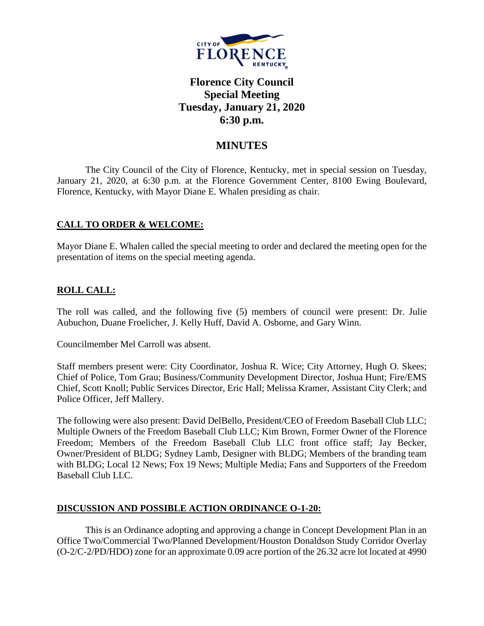

# **Florence City Council Special Meeting Tuesday, January 21, 2020 6:30 p.m.**

# **MINUTES**

The City Council of the City of Florence, Kentucky, met in special session on Tuesday, January 21, 2020, at 6:30 p.m. at the Florence Government Center, 8100 Ewing Boulevard, Florence, Kentucky, with Mayor Diane E. Whalen presiding as chair.

# **CALL TO ORDER & WELCOME:**

Mayor Diane E. Whalen called the special meeting to order and declared the meeting open for the presentation of items on the special meeting agenda.

# **ROLL CALL:**

The roll was called, and the following five (5) members of council were present: Dr. Julie Aubuchon, Duane Froelicher, J. Kelly Huff, David A. Osborne, and Gary Winn.

Councilmember Mel Carroll was absent.

Staff members present were: City Coordinator, Joshua R. Wice; City Attorney, Hugh O. Skees; Chief of Police, Tom Grau; Business/Community Development Director, Joshua Hunt; Fire/EMS Chief, Scott Knoll; Public Services Director, Eric Hall; Melissa Kramer, Assistant City Clerk; and Police Officer, Jeff Mallery.

The following were also present: David DelBello, President/CEO of Freedom Baseball Club LLC; Multiple Owners of the Freedom Baseball Club LLC; Kim Brown, Former Owner of the Florence Freedom; Members of the Freedom Baseball Club LLC front office staff; Jay Becker, Owner/President of BLDG; Sydney Lamb, Designer with BLDG; Members of the branding team with BLDG; Local 12 News; Fox 19 News; Multiple Media; Fans and Supporters of the Freedom Baseball Club LLC.

# **DISCUSSION AND POSSIBLE ACTION ORDINANCE O-1-20:**

This is an Ordinance adopting and approving a change in Concept Development Plan in an Office Two/Commercial Two/Planned Development/Houston Donaldson Study Corridor Overlay (O-2/C-2/PD/HDO) zone for an approximate 0.09 acre portion of the 26.32 acre lot located at 4990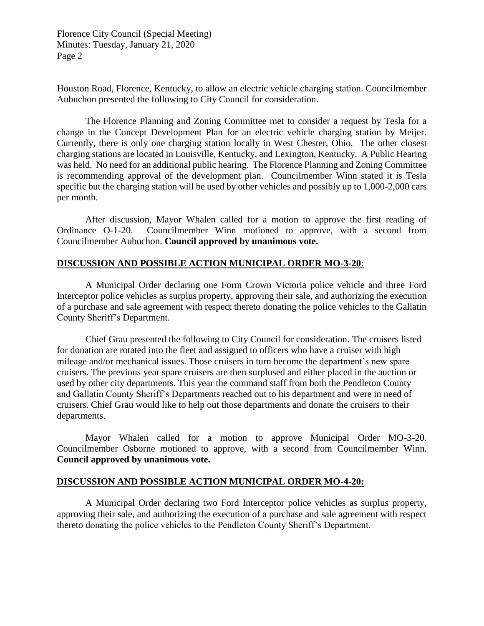Florence City Council (Special Meeting) Minutes: Tuesday, January 21, 2020 Page 2

Houston Road, Florence, Kentucky, to allow an electric vehicle charging station. Councilmember Aubuchon presented the following to City Council for consideration.

The Florence Planning and Zoning Committee met to consider a request by Tesla for a change in the Concept Development Plan for an electric vehicle charging station by Meijer. Currently, there is only one charging station locally in West Chester, Ohio. The other closest charging stations are located in Louisville, Kentucky, and Lexington, Kentucky. A Public Hearing was held. No need for an additional public hearing. The Florence Planning and Zoning Committee is recommending approval of the development plan. Councilmember Winn stated it is Tesla specific but the charging station will be used by other vehicles and possibly up to 1,000-2,000 cars per month.

After discussion, Mayor Whalen called for a motion to approve the first reading of Ordinance O-1-20. Councilmember Winn motioned to approve, with a second from Councilmember Aubuchon. **Council approved by unanimous vote.**

#### **DISCUSSION AND POSSIBLE ACTION MUNICIPAL ORDER MO-3-20:**

A Municipal Order declaring one Form Crown Victoria police vehicle and three Ford Interceptor police vehicles as surplus property, approving their sale, and authorizing the execution of a purchase and sale agreement with respect thereto donating the police vehicles to the Gallatin County Sheriff's Department.

Chief Grau presented the following to City Council for consideration. The cruisers listed for donation are rotated into the fleet and assigned to officers who have a cruiser with high mileage and/or mechanical issues. Those cruisers in turn become the department's new spare cruisers. The previous year spare cruisers are then surplused and either placed in the auction or used by other city departments. This year the command staff from both the Pendleton County and Gallatin County Sheriff's Departments reached out to his department and were in need of cruisers. Chief Grau would like to help out those departments and donate the cruisers to their departments.

Mayor Whalen called for a motion to approve Municipal Order MO-3-20. Councilmember Osborne motioned to approve, with a second from Councilmember Winn. **Council approved by unanimous vote.**

#### **DISCUSSION AND POSSIBLE ACTION MUNICIPAL ORDER MO-4-20:**

A Municipal Order declaring two Ford Interceptor police vehicles as surplus property, approving their sale, and authorizing the execution of a purchase and sale agreement with respect thereto donating the police vehicles to the Pendleton County Sheriff's Department.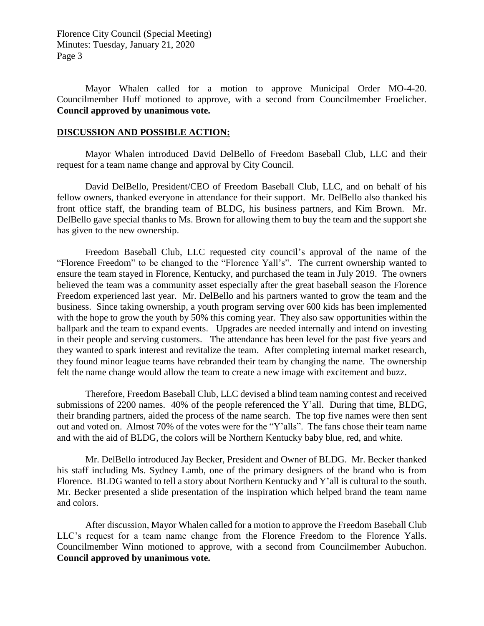Florence City Council (Special Meeting) Minutes: Tuesday, January 21, 2020 Page 3

Mayor Whalen called for a motion to approve Municipal Order MO-4-20. Councilmember Huff motioned to approve, with a second from Councilmember Froelicher. **Council approved by unanimous vote.**

#### **DISCUSSION AND POSSIBLE ACTION:**

Mayor Whalen introduced David DelBello of Freedom Baseball Club, LLC and their request for a team name change and approval by City Council.

David DelBello, President/CEO of Freedom Baseball Club, LLC, and on behalf of his fellow owners, thanked everyone in attendance for their support. Mr. DelBello also thanked his front office staff, the branding team of BLDG, his business partners, and Kim Brown. Mr. DelBello gave special thanks to Ms. Brown for allowing them to buy the team and the support she has given to the new ownership.

Freedom Baseball Club, LLC requested city council's approval of the name of the "Florence Freedom" to be changed to the "Florence Yall's". The current ownership wanted to ensure the team stayed in Florence, Kentucky, and purchased the team in July 2019. The owners believed the team was a community asset especially after the great baseball season the Florence Freedom experienced last year. Mr. DelBello and his partners wanted to grow the team and the business. Since taking ownership, a youth program serving over 600 kids has been implemented with the hope to grow the youth by 50% this coming year. They also saw opportunities within the ballpark and the team to expand events. Upgrades are needed internally and intend on investing in their people and serving customers. The attendance has been level for the past five years and they wanted to spark interest and revitalize the team. After completing internal market research, they found minor league teams have rebranded their team by changing the name. The ownership felt the name change would allow the team to create a new image with excitement and buzz.

Therefore, Freedom Baseball Club, LLC devised a blind team naming contest and received submissions of 2200 names. 40% of the people referenced the Y'all. During that time, BLDG, their branding partners, aided the process of the name search. The top five names were then sent out and voted on. Almost 70% of the votes were for the "Y'alls". The fans chose their team name and with the aid of BLDG, the colors will be Northern Kentucky baby blue, red, and white.

Mr. DelBello introduced Jay Becker, President and Owner of BLDG. Mr. Becker thanked his staff including Ms. Sydney Lamb, one of the primary designers of the brand who is from Florence. BLDG wanted to tell a story about Northern Kentucky and Y'all is cultural to the south. Mr. Becker presented a slide presentation of the inspiration which helped brand the team name and colors.

After discussion, Mayor Whalen called for a motion to approve the Freedom Baseball Club LLC's request for a team name change from the Florence Freedom to the Florence Yalls. Councilmember Winn motioned to approve, with a second from Councilmember Aubuchon. **Council approved by unanimous vote.**